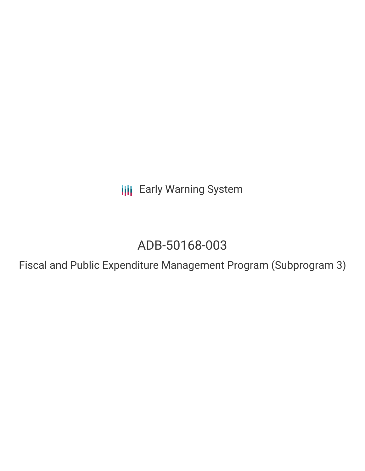**III** Early Warning System

# ADB-50168-003

Fiscal and Public Expenditure Management Program (Subprogram 3)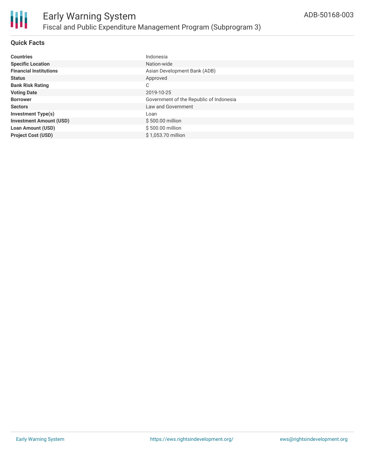

# **Quick Facts**

| <b>Countries</b>               | Indonesia                               |
|--------------------------------|-----------------------------------------|
| <b>Specific Location</b>       | Nation-wide                             |
| <b>Financial Institutions</b>  | Asian Development Bank (ADB)            |
| <b>Status</b>                  | Approved                                |
| <b>Bank Risk Rating</b>        | C                                       |
| <b>Voting Date</b>             | 2019-10-25                              |
| <b>Borrower</b>                | Government of the Republic of Indonesia |
| <b>Sectors</b>                 | Law and Government                      |
| <b>Investment Type(s)</b>      | Loan                                    |
| <b>Investment Amount (USD)</b> | \$500.00 million                        |
| <b>Loan Amount (USD)</b>       | \$500.00 million                        |
| <b>Project Cost (USD)</b>      | \$1.053.70 million                      |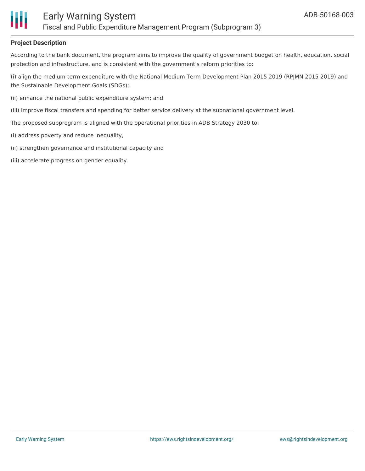

# **Project Description**

According to the bank document, the program aims to improve the quality of government budget on health, education, social protection and infrastructure, and is consistent with the government's reform priorities to:

(i) align the medium-term expenditure with the National Medium Term Development Plan 2015 2019 (RPJMN 2015 2019) and the Sustainable Development Goals (SDGs);

- (ii) enhance the national public expenditure system; and
- (iii) improve fiscal transfers and spending for better service delivery at the subnational government level.
- The proposed subprogram is aligned with the operational priorities in ADB Strategy 2030 to:
- (i) address poverty and reduce inequality,
- (ii) strengthen governance and institutional capacity and
- (iii) accelerate progress on gender equality.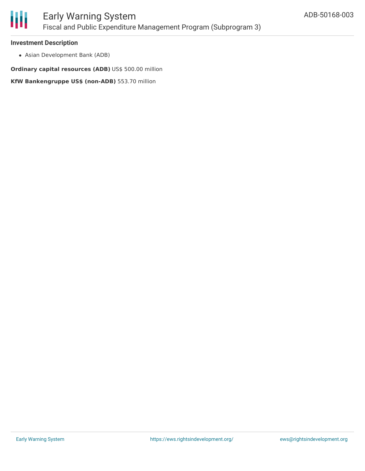

## **Investment Description**

Asian Development Bank (ADB)

**Ordinary capital resources (ADB)** US\$ 500.00 million

**KfW Bankengruppe US\$ (non-ADB)** 553.70 million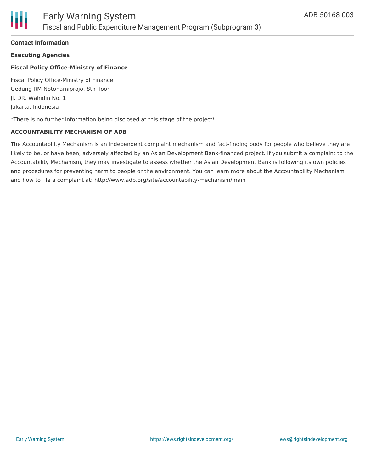# **Contact Information**

**Executing Agencies**

# **Fiscal Policy Office-Ministry of Finance**

Fiscal Policy Office-Ministry of Finance Gedung RM Notohamiprojo, 8th floor Jl. DR. Wahidin No. 1 Jakarta, Indonesia

\*There is no further information being disclosed at this stage of the project\*

# **ACCOUNTABILITY MECHANISM OF ADB**

The Accountability Mechanism is an independent complaint mechanism and fact-finding body for people who believe they are likely to be, or have been, adversely affected by an Asian Development Bank-financed project. If you submit a complaint to the Accountability Mechanism, they may investigate to assess whether the Asian Development Bank is following its own policies and procedures for preventing harm to people or the environment. You can learn more about the Accountability Mechanism and how to file a complaint at: http://www.adb.org/site/accountability-mechanism/main